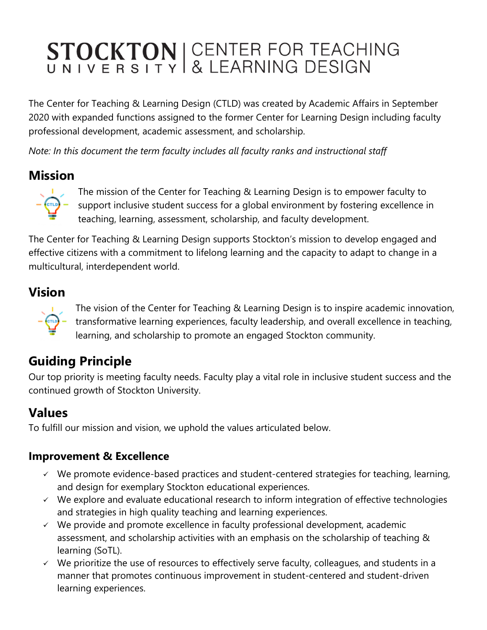# STOCKTON | CENTER FOR TEACHING<br>UNIVERSITY & LEARNING DESIGN

The Center for Teaching & Learning Design (CTLD) was created by Academic Affairs in September 2020 with expanded functions assigned to the former Center for Learning Design including faculty professional development, academic assessment, and scholarship.

*Note: In this document the term faculty includes all faculty ranks and instructional staff*

### **Mission**



The mission of the Center for Teaching & Learning Design is to empower faculty to support inclusive student success for a global environment by fostering excellence in teaching, learning, assessment, scholarship, and faculty development.

The Center for Teaching & Learning Design supports Stockton's mission to develop engaged and effective citizens with a commitment to lifelong learning and the capacity to adapt to change in a multicultural, interdependent world.

## **Vision**



The vision of the Center for Teaching & Learning Design is to inspire academic innovation, **TEM** – transformative learning experiences, faculty leadership, and overall excellence in teaching, learning, and scholarship to promote an engaged Stockton community.

# **Guiding Principle**

Our top priority is meeting faculty needs. Faculty play a vital role in inclusive student success and the continued growth of Stockton University.

### **Values**

To fulfill our mission and vision, we uphold the values articulated below.

#### **Improvement & Excellence**

- $\checkmark$  We promote evidence-based practices and student-centered strategies for teaching, learning, and design for exemplary Stockton educational experiences.
- $\checkmark$  We explore and evaluate educational research to inform integration of effective technologies and strategies in high quality teaching and learning experiences.
- $\checkmark$  We provide and promote excellence in faculty professional development, academic assessment, and scholarship activities with an emphasis on the scholarship of teaching & learning (SoTL).
- $\checkmark$  We prioritize the use of resources to effectively serve faculty, colleagues, and students in a manner that promotes continuous improvement in student-centered and student-driven learning experiences.